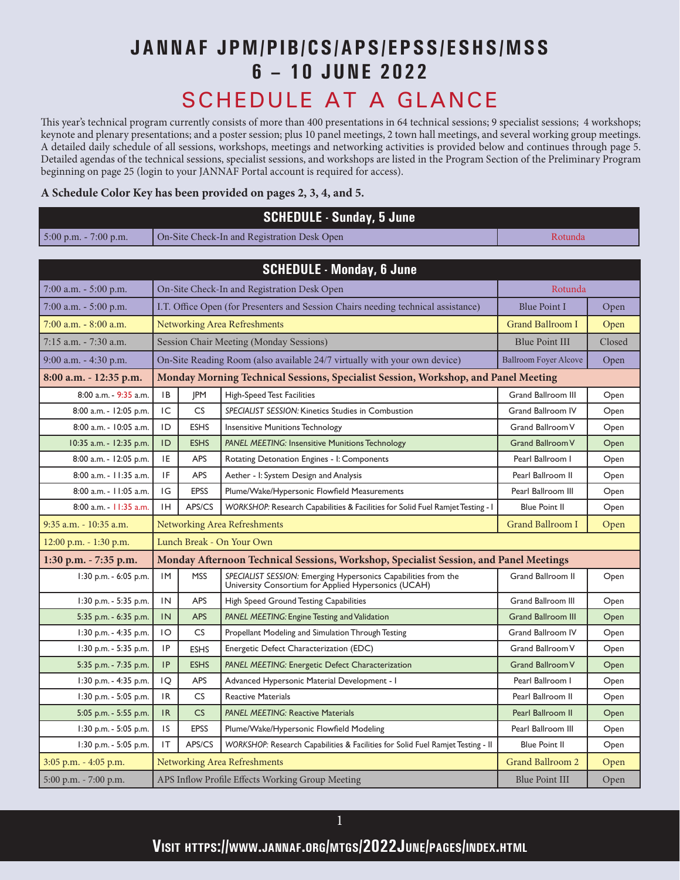## **JANNAF JPM/PIB/CS/APS/EPSS/ESHS/MSS 6 – 10 JUNE 2022**

## SCHEDULE AT A GLANCE

This year's technical program currently consists of more than 400 presentations in 64 technical sessions; 9 specialist sessions; 4 workshops; keynote and plenary presentations; and a poster session; plus 10 panel meetings, 2 town hall meetings, and several working group meetings. A detailed daily schedule of all sessions, workshops, meetings and networking activities is provided below and continues through page 5. Detailed agendas of the technical sessions, specialist sessions, and workshops are listed in the Program Section of the Preliminary Program beginning on page 25 (login to your JANNAF Portal account is required for access).

## **A Schedule Color Key has been provided on pages 2, 3, 4, and 5.**

| <b>SCHEDULE - Sunday, 5 June</b>                                                          |                                                                                   |                                                                                       |                                                                                                                        |                              |        |  |  |
|-------------------------------------------------------------------------------------------|-----------------------------------------------------------------------------------|---------------------------------------------------------------------------------------|------------------------------------------------------------------------------------------------------------------------|------------------------------|--------|--|--|
| $5:00$ p.m. - 7:00 p.m.                                                                   |                                                                                   |                                                                                       | On-Site Check-In and Registration Desk Open                                                                            | Rotunda                      |        |  |  |
|                                                                                           |                                                                                   |                                                                                       |                                                                                                                        |                              |        |  |  |
|                                                                                           |                                                                                   |                                                                                       | <b>SCHEDULE - Monday, 6 June</b>                                                                                       |                              |        |  |  |
| 7:00 a.m. $-$ 5:00 p.m.                                                                   |                                                                                   |                                                                                       | On-Site Check-In and Registration Desk Open                                                                            | Rotunda                      |        |  |  |
| $7:00$ a.m. $-5:00$ p.m.                                                                  |                                                                                   |                                                                                       | I.T. Office Open (for Presenters and Session Chairs needing technical assistance)                                      | <b>Blue Point I</b>          | Open   |  |  |
| $7:00$ a.m. $-8:00$ a.m.                                                                  |                                                                                   |                                                                                       | <b>Networking Area Refreshments</b>                                                                                    | <b>Grand Ballroom I</b>      | Open   |  |  |
| $7:15$ a.m. $-7:30$ a.m.                                                                  |                                                                                   |                                                                                       | Session Chair Meeting (Monday Sessions)                                                                                | <b>Blue Point III</b>        | Closed |  |  |
| $9:00$ a.m. $-4:30$ p.m.                                                                  |                                                                                   |                                                                                       | On-Site Reading Room (also available 24/7 virtually with your own device)                                              | <b>Ballroom Foyer Alcove</b> | Open   |  |  |
| 8:00 a.m. - 12:35 p.m.                                                                    |                                                                                   |                                                                                       | Monday Morning Technical Sessions, Specialist Session, Workshop, and Panel Meeting                                     |                              |        |  |  |
| 8:00 a.m. - 9:35 a.m.                                                                     | <b>IB</b>                                                                         | <b>IPM</b>                                                                            | <b>High-Speed Test Facilities</b>                                                                                      | <b>Grand Ballroom III</b>    | Open   |  |  |
| 8:00 a.m. - 12:05 p.m.                                                                    | IC                                                                                | CS                                                                                    | SPECIALIST SESSION: Kinetics Studies in Combustion                                                                     | <b>Grand Ballroom IV</b>     | Open   |  |  |
| 8:00 a.m. - 10:05 a.m.                                                                    | ID                                                                                | <b>ESHS</b>                                                                           | <b>Insensitive Munitions Technology</b>                                                                                | Grand Ballroom V             | Open   |  |  |
| 10:35 a.m. - 12:35 p.m.                                                                   | ID                                                                                | <b>ESHS</b>                                                                           | PANEL MEETING: Insensitive Munitions Technology                                                                        | <b>Grand Ballroom V</b>      | Open   |  |  |
| 8:00 a.m. - 12:05 p.m.                                                                    | 1E                                                                                | <b>APS</b>                                                                            | Rotating Detonation Engines - I: Components                                                                            | Pearl Ballroom I             | Open   |  |  |
| 8:00 a.m. - 11:35 a.m.                                                                    | <b>IF</b>                                                                         | <b>APS</b>                                                                            | Aether - I: System Design and Analysis                                                                                 | Pearl Ballroom II            | Open   |  |  |
| 8:00 a.m. - 11:05 a.m.                                                                    | IG                                                                                | <b>EPSS</b>                                                                           | Plume/Wake/Hypersonic Flowfield Measurements                                                                           | Pearl Ballroom III           | Open   |  |  |
| 8:00 a.m. - 11:35 a.m.                                                                    | ΙH.                                                                               | APS/CS                                                                                | WORKSHOP: Research Capabilities & Facilities for Solid Fuel Ramjet Testing - I                                         | <b>Blue Point II</b>         | Open   |  |  |
| <b>Grand Ballroom I</b><br>9:35 a.m. - 10:35 a.m.<br>Networking Area Refreshments<br>Open |                                                                                   |                                                                                       |                                                                                                                        |                              |        |  |  |
| 12:00 p.m. - 1:30 p.m.                                                                    |                                                                                   |                                                                                       | Lunch Break - On Your Own                                                                                              |                              |        |  |  |
| 1:30 p.m. $- 7:35$ p.m.                                                                   |                                                                                   |                                                                                       | Monday Afternoon Technical Sessions, Workshop, Specialist Session, and Panel Meetings                                  |                              |        |  |  |
| 1:30 p.m. - 6:05 p.m.                                                                     | 1M                                                                                | <b>MSS</b>                                                                            | SPECIALIST SESSION: Emerging Hypersonics Capabilities from the<br>University Consortium for Applied Hypersonics (UCAH) | Grand Ballroom II            | Open   |  |  |
| 1:30 p.m. - 5:35 p.m.                                                                     | IN                                                                                | <b>APS</b>                                                                            | High Speed Ground Testing Capabilities                                                                                 | <b>Grand Ballroom III</b>    | Open   |  |  |
| 5:35 p.m. - 6:35 p.m.                                                                     | IN                                                                                | <b>APS</b>                                                                            | PANEL MEETING: Engine Testing and Validation                                                                           | <b>Grand Ballroom III</b>    | Open   |  |  |
| 1:30 p.m. - 4:35 p.m.                                                                     | 10                                                                                | CS                                                                                    | Propellant Modeling and Simulation Through Testing                                                                     | <b>Grand Ballroom IV</b>     | Open   |  |  |
| 1:30 p.m. - 5:35 p.m.                                                                     | 1P                                                                                | <b>ESHS</b>                                                                           | Energetic Defect Characterization (EDC)                                                                                | Grand Ballroom V             | Open   |  |  |
| 5:35 p.m. - 7:35 p.m.                                                                     | <b>IP</b>                                                                         | <b>ESHS</b>                                                                           | PANEL MEETING: Energetic Defect Characterization                                                                       | <b>Grand Ballroom V</b>      | Open   |  |  |
| 1:30 p.m. - 4:35 p.m.                                                                     | IQ                                                                                | APS                                                                                   | Advanced Hypersonic Material Development - I                                                                           | Pearl Ballroom I             | Open   |  |  |
| $1:30$ p.m. - 5:05 p.m.                                                                   | 1R                                                                                | CS                                                                                    | <b>Reactive Materials</b>                                                                                              | Pearl Ballroom II            | Open   |  |  |
| 5:05 p.m. - 5:55 p.m.                                                                     | IR                                                                                | CS                                                                                    | PANEL MEETING: Reactive Materials                                                                                      | Pearl Ballroom II            | Open   |  |  |
| 1:30 p.m. - 5:05 p.m.                                                                     | 1S                                                                                | <b>EPSS</b><br>Plume/Wake/Hypersonic Flowfield Modeling<br>Pearl Ballroom III<br>Open |                                                                                                                        |                              |        |  |  |
| 1:30 p.m. - 5:05 p.m.                                                                     | IT                                                                                | APS/CS                                                                                | WORKSHOP: Research Capabilities & Facilities for Solid Fuel Ramjet Testing - II                                        | <b>Blue Point II</b>         | Open   |  |  |
| 3:05 p.m. - 4:05 p.m.                                                                     |                                                                                   |                                                                                       | Networking Area Refreshments                                                                                           | Grand Ballroom 2             | Open   |  |  |
| 5:00 p.m. - 7:00 p.m.                                                                     | APS Inflow Profile Effects Working Group Meeting<br><b>Blue Point III</b><br>Open |                                                                                       |                                                                                                                        |                              |        |  |  |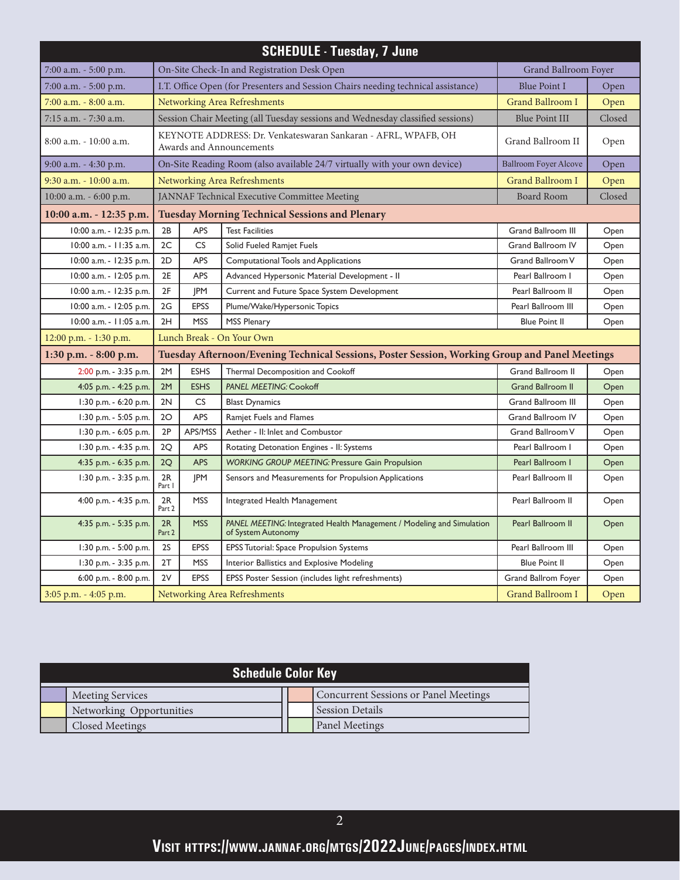| <b>SCHEDULE - Tuesday, 7 June</b>                   |                                                                                                       |             |                                                                                             |                              |        |  |  |
|-----------------------------------------------------|-------------------------------------------------------------------------------------------------------|-------------|---------------------------------------------------------------------------------------------|------------------------------|--------|--|--|
| 7:00 a.m. - 5:00 p.m.                               |                                                                                                       |             | On-Site Check-In and Registration Desk Open                                                 | Grand Ballroom Foyer         |        |  |  |
| 7:00 a.m. - 5:00 p.m.                               |                                                                                                       |             | I.T. Office Open (for Presenters and Session Chairs needing technical assistance)           | <b>Blue Point I</b>          | Open   |  |  |
| 7:00 a.m. - 8:00 a.m.                               |                                                                                                       |             | Networking Area Refreshments                                                                | <b>Grand Ballroom I</b>      | Open   |  |  |
| 7:15 a.m. - 7:30 a.m.                               |                                                                                                       |             | Session Chair Meeting (all Tuesday sessions and Wednesday classified sessions)              | <b>Blue Point III</b>        | Closed |  |  |
| $8:00$ a.m. $-10:00$ a.m.                           |                                                                                                       |             | KEYNOTE ADDRESS: Dr. Venkateswaran Sankaran - AFRL, WPAFB, OH<br>Awards and Announcements   | Grand Ballroom II            | Open   |  |  |
| 9:00 a.m. - 4:30 p.m.                               |                                                                                                       |             | On-Site Reading Room (also available 24/7 virtually with your own device)                   | <b>Ballroom Foyer Alcove</b> | Open   |  |  |
| 9:30 a.m. - 10:00 a.m.                              |                                                                                                       |             | Networking Area Refreshments                                                                | <b>Grand Ballroom I</b>      | Open   |  |  |
| $10:00$ a.m. $-6:00$ p.m.                           |                                                                                                       |             | JANNAF Technical Executive Committee Meeting                                                | <b>Board Room</b>            | Closed |  |  |
| 10:00 a.m. - 12:35 p.m.                             |                                                                                                       |             | <b>Tuesday Morning Technical Sessions and Plenary</b>                                       |                              |        |  |  |
| 10:00 a.m. - 12:35 p.m.                             | 2B                                                                                                    | APS         | <b>Test Facilities</b>                                                                      | <b>Grand Ballroom III</b>    | Open   |  |  |
| 10:00 a.m. - 11:35 a.m.                             | 2C                                                                                                    | <b>CS</b>   | Solid Fueled Ramjet Fuels                                                                   | Grand Ballroom IV            | Open   |  |  |
| 10:00 a.m. - 12:35 p.m.                             | 2D                                                                                                    | APS         | Computational Tools and Applications                                                        | Grand Ballroom V             | Open   |  |  |
| 10:00 a.m. - 12:05 p.m.                             | 2E                                                                                                    | APS         | Advanced Hypersonic Material Development - II                                               | Pearl Ballroom I             | Open   |  |  |
| 10:00 a.m. - 12:35 p.m.                             | 2F                                                                                                    | JPM         | Current and Future Space System Development                                                 | Pearl Ballroom II            | Open   |  |  |
| 10:00 a.m. - 12:05 p.m.                             | 2G                                                                                                    | <b>EPSS</b> | Plume/Wake/Hypersonic Topics                                                                | Pearl Ballroom III           | Open   |  |  |
| 10:00 a.m. - 11:05 a.m.                             | 2H                                                                                                    | <b>MSS</b>  | <b>MSS Plenary</b>                                                                          | <b>Blue Point II</b>         | Open   |  |  |
| Lunch Break - On Your Own<br>12:00 p.m. - 1:30 p.m. |                                                                                                       |             |                                                                                             |                              |        |  |  |
| $1:30$ p.m. $-8:00$ p.m.                            | Tuesday Afternoon/Evening Technical Sessions, Poster Session, Working Group and Panel Meetings        |             |                                                                                             |                              |        |  |  |
| 2:00 p.m. - 3:35 p.m.                               | 2M                                                                                                    | <b>ESHS</b> | Thermal Decomposition and Cookoff                                                           | <b>Grand Ballroom II</b>     | Open   |  |  |
| 4:05 p.m. - 4:25 p.m.                               | 2M                                                                                                    | <b>ESHS</b> | <b>PANEL MEETING: Cookoff</b>                                                               | <b>Grand Ballroom II</b>     | Open   |  |  |
| 1:30 p.m. - 6:20 p.m.                               | 2N                                                                                                    | CS          | <b>Blast Dynamics</b>                                                                       | <b>Grand Ballroom III</b>    | Open   |  |  |
| 1:30 p.m. - 5:05 p.m.                               | 2O                                                                                                    | APS         | <b>Ramjet Fuels and Flames</b>                                                              | <b>Grand Ballroom IV</b>     | Open   |  |  |
| 1:30 p.m. - 6:05 p.m.                               | 2P                                                                                                    | APS/MSS     | Aether - II: Inlet and Combustor                                                            | Grand Ballroom V             | Open   |  |  |
| 1:30 p.m. - 4:35 p.m.                               | 2Q                                                                                                    | <b>APS</b>  | Rotating Detonation Engines - II: Systems                                                   | Pearl Ballroom I             | Open   |  |  |
| 4:35 p.m. - 6:35 p.m.                               | 2Q                                                                                                    | APS         | <b>WORKING GROUP MEETING: Pressure Gain Propulsion</b>                                      | Pearl Ballroom I             | Open   |  |  |
| 1:30 p.m. - 3:35 p.m.                               | 2R<br>Part I                                                                                          | <b>JPM</b>  | Sensors and Measurements for Propulsion Applications                                        | Pearl Ballroom II            | Open   |  |  |
| 4:00 p.m. - 4:35 p.m.                               | 2R<br>Part 2                                                                                          | <b>MSS</b>  | Integrated Health Management                                                                | Pearl Ballroom II            | Open   |  |  |
| 4:35 p.m. - 5:35 p.m.                               | 2R<br>Part 2                                                                                          | <b>MSS</b>  | PANEL MEETING: Integrated Health Management / Modeling and Simulation<br>of System Autonomy | Pearl Ballroom II            | Open   |  |  |
| 1:30 p.m. - 5:00 p.m.                               | <b>2S</b>                                                                                             | EPSS        | EPSS Tutorial: Space Propulsion Systems                                                     | Pearl Ballroom III           | Open   |  |  |
| 1:30 p.m. - 3:35 p.m.                               | 2T                                                                                                    | <b>MSS</b>  | Interior Ballistics and Explosive Modeling                                                  | <b>Blue Point II</b>         | Open   |  |  |
| 6:00 p.m. - 8:00 p.m.                               | <b>EPSS</b><br>2V<br>EPSS Poster Session (includes light refreshments)<br>Grand Ballrom Foyer<br>Open |             |                                                                                             |                              |        |  |  |
| $3:05$ p.m. $-4:05$ p.m.                            | Networking Area Refreshments<br>Grand Ballroom I                                                      |             |                                                                                             |                              |        |  |  |

| <b>Schedule Color Key</b>                                        |  |                        |  |  |  |  |  |
|------------------------------------------------------------------|--|------------------------|--|--|--|--|--|
| Concurrent Sessions or Panel Meetings<br><b>Meeting Services</b> |  |                        |  |  |  |  |  |
| Networking Opportunities                                         |  | <b>Session Details</b> |  |  |  |  |  |
| Closed Meetings                                                  |  | <b>Panel Meetings</b>  |  |  |  |  |  |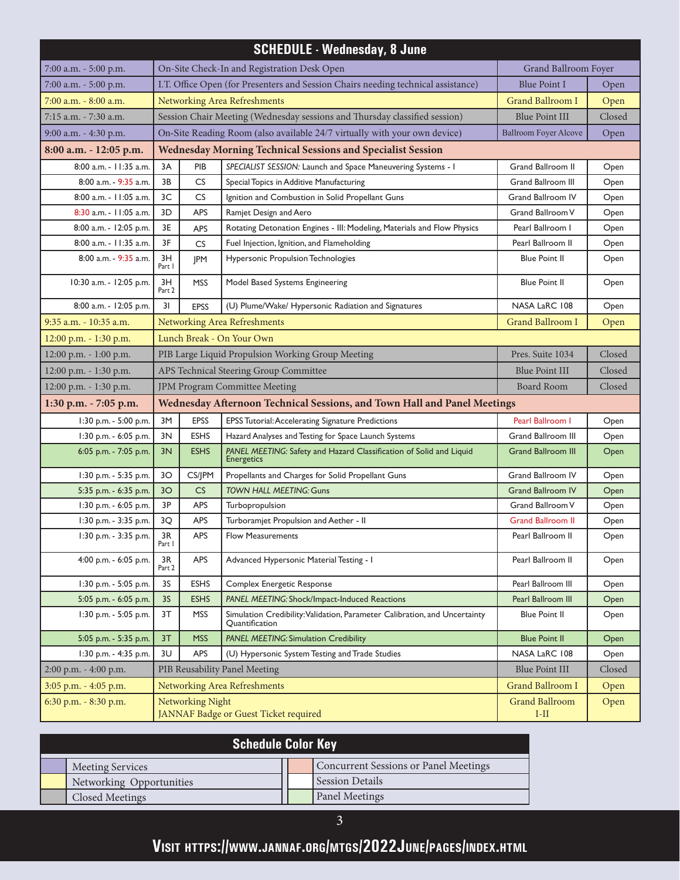| <b>SCHEDULE - Wednesday, 8 June</b>                                         |                                                                          |                         |                                                                                              |                                 |        |  |  |
|-----------------------------------------------------------------------------|--------------------------------------------------------------------------|-------------------------|----------------------------------------------------------------------------------------------|---------------------------------|--------|--|--|
| 7:00 a.m. - 5:00 p.m.                                                       |                                                                          |                         | On-Site Check-In and Registration Desk Open                                                  | Grand Ballroom Foyer            |        |  |  |
| 7:00 a.m. - 5:00 p.m.                                                       |                                                                          |                         | I.T. Office Open (for Presenters and Session Chairs needing technical assistance)            | <b>Blue Point I</b>             | Open   |  |  |
| 7:00 a.m. - 8:00 a.m.                                                       | Networking Area Refreshments                                             | <b>Grand Ballroom I</b> | Open                                                                                         |                                 |        |  |  |
| 7:15 a.m. - 7:30 a.m.                                                       |                                                                          |                         | Session Chair Meeting (Wednesday sessions and Thursday classified session)                   | <b>Blue Point III</b>           | Closed |  |  |
| 9:00 a.m. - 4:30 p.m.                                                       |                                                                          |                         | On-Site Reading Room (also available 24/7 virtually with your own device)                    | <b>Ballroom Foyer Alcove</b>    | Open   |  |  |
| 8:00 a.m. - 12:05 p.m.                                                      |                                                                          |                         | <b>Wednesday Morning Technical Sessions and Specialist Session</b>                           |                                 |        |  |  |
| 8:00 a.m. - 11:35 a.m.                                                      | 3A                                                                       | PIB                     | SPECIALIST SESSION: Launch and Space Maneuvering Systems - I                                 | Grand Ballroom II               | Open   |  |  |
| 8:00 a.m. - 9:35 a.m.                                                       | 3B                                                                       | CS.                     | Special Topics in Additive Manufacturing                                                     | Grand Ballroom III              | Open   |  |  |
| 8:00 a.m. - 11:05 a.m.                                                      | 3C                                                                       | CS                      | Ignition and Combustion in Solid Propellant Guns                                             | <b>Grand Ballroom IV</b>        | Open   |  |  |
| 8:30 a.m. - 11:05 a.m.                                                      | 3D                                                                       | <b>APS</b>              | Ramjet Design and Aero                                                                       | Grand Ballroom V                | Open   |  |  |
| 8:00 a.m. - 12:05 p.m.                                                      | 3E                                                                       | APS                     | Rotating Detonation Engines - III: Modeling, Materials and Flow Physics                      | Pearl Ballroom I                | Open   |  |  |
| 8:00 a.m. - 11:35 a.m.                                                      | 3F                                                                       | <b>CS</b>               | Fuel Injection, Ignition, and Flameholding                                                   | Pearl Ballroom II               | Open   |  |  |
| 8:00 a.m. - 9:35 a.m.                                                       | 3H<br>Part I                                                             | <b>JPM</b>              | Hypersonic Propulsion Technologies                                                           | <b>Blue Point II</b>            | Open   |  |  |
| 10:30 a.m. - 12:05 p.m.                                                     | 3H<br>Part 2                                                             | <b>MSS</b>              | Model Based Systems Engineering                                                              | <b>Blue Point II</b>            | Open   |  |  |
| 8:00 a.m. - 12:05 p.m.                                                      | 31                                                                       | <b>EPSS</b>             | (U) Plume/Wake/ Hypersonic Radiation and Signatures                                          | NASA LaRC 108                   | Open   |  |  |
| 9:35 a.m. - 10:35 a.m.                                                      | Networking Area Refreshments                                             |                         |                                                                                              |                                 | Open   |  |  |
| Lunch Break - On Your Own<br>12:00 p.m. - 1:30 p.m.                         |                                                                          |                         |                                                                                              |                                 |        |  |  |
| PIB Large Liquid Propulsion Working Group Meeting<br>12:00 p.m. - 1:00 p.m. |                                                                          |                         |                                                                                              | Pres. Suite 1034                | Closed |  |  |
| 12:00 p.m. - 1:30 p.m.<br>APS Technical Steering Group Committee            |                                                                          |                         |                                                                                              | <b>Blue Point III</b>           | Closed |  |  |
| 12:00 p.m. - 1:30 p.m.<br>JPM Program Committee Meeting                     |                                                                          |                         |                                                                                              | <b>Board Room</b>               | Closed |  |  |
| 1:30 p.m. - 7:05 p.m.                                                       | Wednesday Afternoon Technical Sessions, and Town Hall and Panel Meetings |                         |                                                                                              |                                 |        |  |  |
| 1:30 p.m. - 5:00 p.m.                                                       | 3M                                                                       | <b>EPSS</b>             | EPSS Tutorial: Accelerating Signature Predictions                                            | Pearl Ballroom I                | Open   |  |  |
| 1:30 p.m. - 6:05 p.m.                                                       | 3N                                                                       | <b>ESHS</b>             | Hazard Analyses and Testing for Space Launch Systems                                         | Grand Ballroom III              | Open   |  |  |
| 6:05 p.m. - 7:05 p.m.                                                       | 3N                                                                       | <b>ESHS</b>             | PANEL MEETING: Safety and Hazard Classification of Solid and Liquid<br>Energetics            | <b>Grand Ballroom III</b>       | Open   |  |  |
| 1:30 p.m. - 5:35 p.m.                                                       | 30                                                                       | CS/JPM                  | Propellants and Charges for Solid Propellant Guns                                            | <b>Grand Ballroom IV</b>        | Open   |  |  |
| 5:35 p.m. - 6:35 p.m.                                                       | 3 <sup>O</sup>                                                           | CS                      | TOWN HALL MEETING: Guns                                                                      | <b>Grand Ballroom IV</b>        | Open   |  |  |
| 1:30 p.m. - 6:05 p.m.                                                       | 3P                                                                       | <b>APS</b>              | Turbopropulsion                                                                              | Grand Ballroom V                | Open   |  |  |
| 1:30 p.m. - 3:35 p.m.                                                       | 3Q                                                                       | <b>APS</b>              | Turboramjet Propulsion and Aether - II                                                       | <b>Grand Ballroom II</b>        | Open   |  |  |
| 1:30 p.m. - 3:35 p.m.                                                       | $3R$<br>Part I                                                           | APS                     | Flow Measurements                                                                            | Pearl Ballroom II               | Open   |  |  |
| 4:00 p.m. - 6:05 p.m.                                                       | 3R<br>Part 2                                                             | APS                     | Advanced Hypersonic Material Testing - I                                                     | Pearl Ballroom II               | Open   |  |  |
| 1:30 p.m. - 5:05 p.m.                                                       | 3S                                                                       | <b>ESHS</b>             | Complex Energetic Response                                                                   | Pearl Ballroom III              | Open   |  |  |
| 5:05 p.m. - 6:05 p.m.                                                       | 3S                                                                       | <b>ESHS</b>             | PANEL MEETING: Shock/Impact-Induced Reactions                                                | Pearl Ballroom III              | Open   |  |  |
| 1:30 p.m. - 5:05 p.m.                                                       | 3T                                                                       | <b>MSS</b>              | Simulation Credibility: Validation, Parameter Calibration, and Uncertainty<br>Quantification | <b>Blue Point II</b>            | Open   |  |  |
| 5:05 p.m. - 5:35 p.m.                                                       | 3T                                                                       | <b>MSS</b>              | PANEL MEETING: Simulation Credibility                                                        | <b>Blue Point II</b>            | Open   |  |  |
| 1:30 p.m. - 4:35 p.m.                                                       | 3U                                                                       | <b>APS</b>              | (U) Hypersonic System Testing and Trade Studies                                              | NASA LaRC 108                   | Open   |  |  |
| $2:00$ p.m. $-4:00$ p.m.                                                    |                                                                          |                         | PIB Reusability Panel Meeting                                                                | <b>Blue Point III</b>           | Closed |  |  |
| 3:05 p.m. - 4:05 p.m.                                                       |                                                                          |                         | Networking Area Refreshments                                                                 | <b>Grand Ballroom I</b>         | Open   |  |  |
| 6:30 p.m. - 8:30 p.m.                                                       | Networking Night<br>JANNAF Badge or Guest Ticket required                |                         |                                                                                              | <b>Grand Ballroom</b><br>$I-II$ | Open   |  |  |

| <b>Schedule Color Key</b> |                          |  |                                       |  |  |
|---------------------------|--------------------------|--|---------------------------------------|--|--|
|                           | <b>Meeting Services</b>  |  | Concurrent Sessions or Panel Meetings |  |  |
|                           | Networking Opportunities |  | <b>Session Details</b>                |  |  |
|                           | Closed Meetings          |  | <b>Panel Meetings</b>                 |  |  |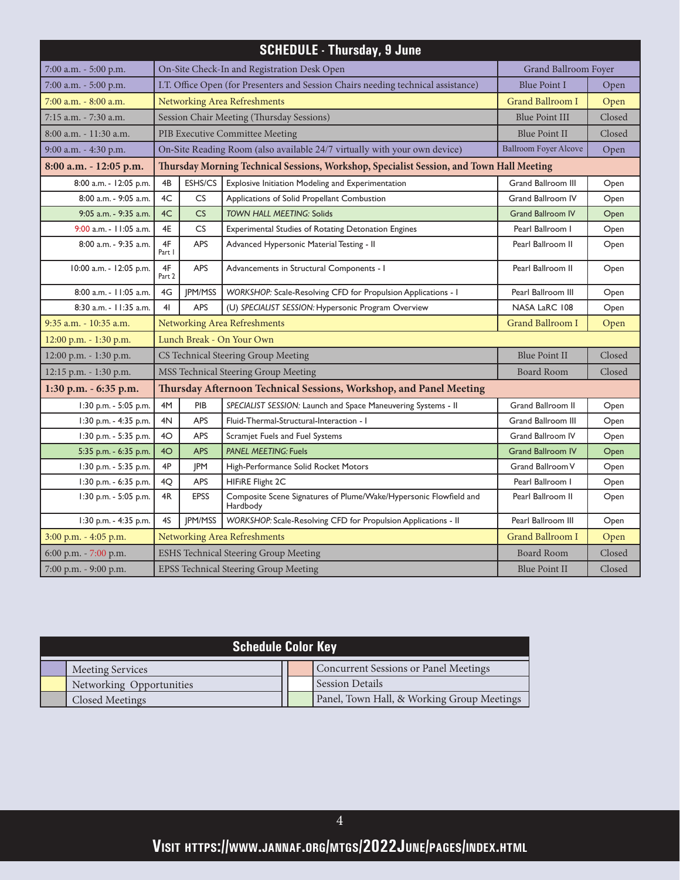| <b>SCHEDULE - Thursday, 9 June</b>                                                |                                                                      |                                                                                              |                                                                                          |                              |        |  |  |
|-----------------------------------------------------------------------------------|----------------------------------------------------------------------|----------------------------------------------------------------------------------------------|------------------------------------------------------------------------------------------|------------------------------|--------|--|--|
| 7:00 a.m. - 5:00 p.m.                                                             |                                                                      |                                                                                              | On-Site Check-In and Registration Desk Open                                              | Grand Ballroom Foyer         |        |  |  |
| 7:00 a.m. - 5:00 p.m.                                                             |                                                                      |                                                                                              | I.T. Office Open (for Presenters and Session Chairs needing technical assistance)        | <b>Blue Point I</b>          | Open   |  |  |
| 7:00 a.m. - 8:00 a.m.                                                             |                                                                      |                                                                                              | Networking Area Refreshments                                                             | <b>Grand Ballroom I</b>      | Open   |  |  |
| 7:15 a.m. - 7:30 a.m.                                                             |                                                                      |                                                                                              | Session Chair Meeting (Thursday Sessions)                                                | <b>Blue Point III</b>        | Closed |  |  |
| 8:00 a.m. - 11:30 a.m.                                                            |                                                                      |                                                                                              | PIB Executive Committee Meeting                                                          | <b>Blue Point II</b>         | Closed |  |  |
| 9:00 a.m. - 4:30 p.m.                                                             |                                                                      |                                                                                              | On-Site Reading Room (also available 24/7 virtually with your own device)                | <b>Ballroom Foyer Alcove</b> | Open   |  |  |
| 8:00 a.m. - 12:05 p.m.                                                            |                                                                      |                                                                                              | Thursday Morning Technical Sessions, Workshop, Specialist Session, and Town Hall Meeting |                              |        |  |  |
| 8:00 a.m. - 12:05 p.m.                                                            | 4B                                                                   | ESHS/CS                                                                                      | Explosive Initiation Modeling and Experimentation                                        | <b>Grand Ballroom III</b>    | Open   |  |  |
| 8:00 a.m. - 9:05 a.m.                                                             | 4C                                                                   | CS                                                                                           | Applications of Solid Propellant Combustion                                              | Grand Ballroom IV            | Open   |  |  |
| 9:05 a.m. - 9:35 a.m.                                                             | 4C                                                                   | CS                                                                                           | <b>TOWN HALL MEETING: Solids</b>                                                         | <b>Grand Ballroom IV</b>     | Open   |  |  |
| 9:00 a.m. - 11:05 a.m.                                                            | 4E                                                                   | <b>CS</b>                                                                                    | <b>Experimental Studies of Rotating Detonation Engines</b>                               | Pearl Ballroom I             | Open   |  |  |
| 8:00 a.m. - 9:35 a.m.                                                             | 4F<br>Part I                                                         | APS<br>Advanced Hypersonic Material Testing - II                                             |                                                                                          | Pearl Ballroom II            | Open   |  |  |
| 10:00 a.m. - 12:05 p.m.                                                           | 4F<br>Part 2                                                         | APS<br>Advancements in Structural Components - I                                             |                                                                                          | Pearl Ballroom II            | Open   |  |  |
| 8:00 a.m. - 11:05 a.m.                                                            | 4G                                                                   | JPM/MSS                                                                                      | WORKSHOP: Scale-Resolving CFD for Propulsion Applications - I                            |                              | Open   |  |  |
| 8:30 a.m. - 11:35 a.m.                                                            | 4 <sub>l</sub>                                                       | <b>APS</b>                                                                                   | (U) SPECIALIST SESSION: Hypersonic Program Overview                                      | NASA LaRC 108                | Open   |  |  |
| 9:35 a.m. - 10:35 a.m.<br>Networking Area Refreshments<br><b>Grand Ballroom I</b> |                                                                      |                                                                                              |                                                                                          |                              | Open   |  |  |
| Lunch Break - On Your Own<br>12:00 p.m. - 1:30 p.m.                               |                                                                      |                                                                                              |                                                                                          |                              |        |  |  |
| 12:00 p.m. - 1:30 p.m.                                                            | <b>Blue Point II</b><br>CS Technical Steering Group Meeting          |                                                                                              |                                                                                          |                              | Closed |  |  |
| 12:15 p.m. - 1:30 p.m.                                                            | MSS Technical Steering Group Meeting<br><b>Board Room</b>            |                                                                                              |                                                                                          |                              | Closed |  |  |
| 1:30 p.m. - 6:35 p.m.                                                             |                                                                      |                                                                                              | Thursday Afternoon Technical Sessions, Workshop, and Panel Meeting                       |                              |        |  |  |
| 1:30 p.m. - 5:05 p.m.                                                             | 4M                                                                   | PIB                                                                                          | SPECIALIST SESSION: Launch and Space Maneuvering Systems - II                            | Grand Ballroom II            | Open   |  |  |
| 1:30 p.m. - 4:35 p.m.                                                             | 4N                                                                   | APS                                                                                          | Fluid-Thermal-Structural-Interaction - I                                                 | <b>Grand Ballroom III</b>    | Open   |  |  |
| 1:30 p.m. - 5:35 p.m.                                                             | 4O                                                                   | APS                                                                                          | Scramjet Fuels and Fuel Systems                                                          | <b>Grand Ballroom IV</b>     | Open   |  |  |
| 5:35 p.m. - 6:35 p.m.                                                             | 4O                                                                   | <b>APS</b>                                                                                   | <b>PANEL MEETING: Fuels</b>                                                              | <b>Grand Ballroom IV</b>     | Open   |  |  |
| 1:30 p.m. - 5:35 p.m.                                                             | 4P                                                                   | <b>JPM</b>                                                                                   | High-Performance Solid Rocket Motors                                                     | Grand Ballroom V             | Open   |  |  |
| 1:30 p.m. - 6:35 p.m.                                                             | 4Q                                                                   | APS<br>HIFIRE Flight 2C                                                                      |                                                                                          | Pearl Ballroom I             | Open   |  |  |
| 1:30 p.m. - 5:05 p.m.                                                             | 4R                                                                   | <b>EPSS</b><br>Composite Scene Signatures of Plume/Wake/Hypersonic Flowfield and<br>Hardbody |                                                                                          | Pearl Ballroom II            | Open   |  |  |
| 1:30 p.m. - 4:35 p.m.                                                             | 4S                                                                   | <b>IPM/MSS</b><br>WORKSHOP: Scale-Resolving CFD for Propulsion Applications - II             |                                                                                          | Pearl Ballroom III           | Open   |  |  |
| 3:00 p.m. - 4:05 p.m.                                                             | <b>Grand Ballroom I</b><br>Networking Area Refreshments              |                                                                                              |                                                                                          |                              | Open   |  |  |
| 6:00 p.m. - 7:00 p.m.                                                             | <b>Board Room</b><br>Closed<br>ESHS Technical Steering Group Meeting |                                                                                              |                                                                                          |                              |        |  |  |
| 7:00 p.m. - 9:00 p.m.                                                             |                                                                      |                                                                                              | EPSS Technical Steering Group Meeting                                                    | Blue Point II                | Closed |  |  |

| <b>Schedule Color Key</b> |                          |  |                                            |  |  |  |
|---------------------------|--------------------------|--|--------------------------------------------|--|--|--|
|                           | <b>Meeting Services</b>  |  | Concurrent Sessions or Panel Meetings      |  |  |  |
|                           | Networking Opportunities |  | <b>Session Details</b>                     |  |  |  |
|                           | Closed Meetings          |  | Panel, Town Hall, & Working Group Meetings |  |  |  |